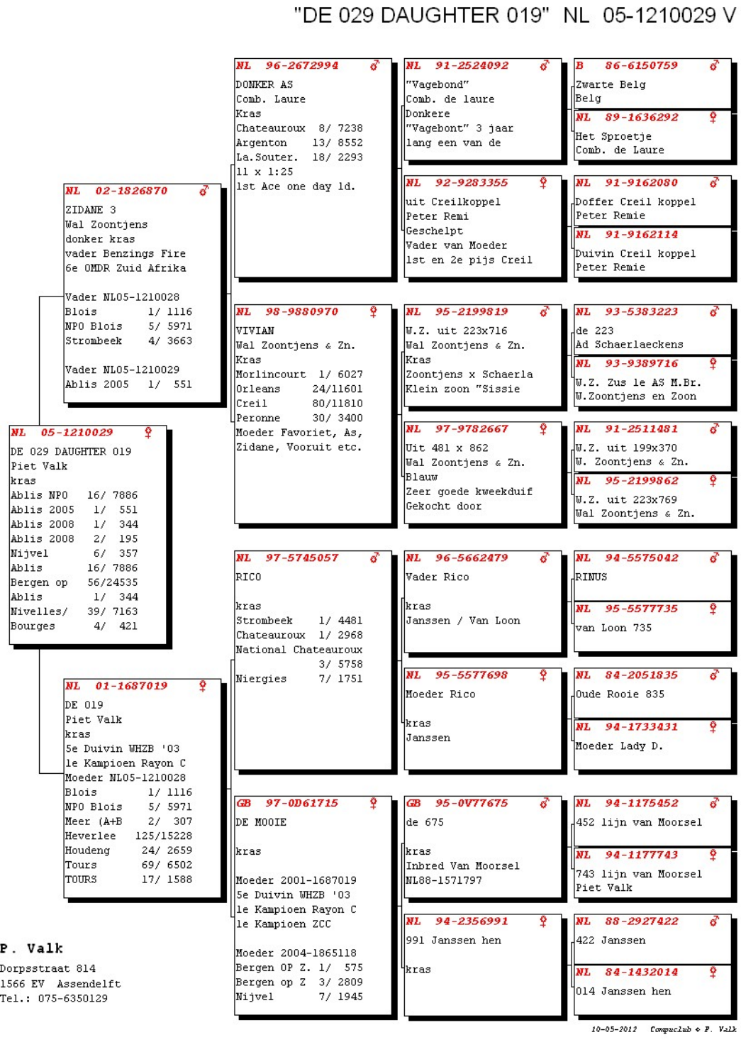## "DE 029 DAUGHTER 019" NL 05-1210029 V

| 02-1826870<br>NL.<br>ZIDANE <sub>3</sub>                                                                                                                                        | 96-2672994<br>NL<br>DONKER AS<br>Comb. Laure<br>Kras<br>Chateauroux 8/ 7238<br>13/8552<br>Argenton<br>La. Souter. 18/ 2293<br>$ 11 \times 1:25$<br>1st Ace one day 1d. | NL 91-2524092<br>"Vagebond"<br>Comb. de laure<br><b>IDonkere</b><br>"Vagebont" 3 jaar<br>lang een van de<br>NL 92-9283355<br>uit Creilkoppel | 86-6150759<br>в<br>Zwarte Belg<br>Belg<br>NL 89-1636292<br>۰<br>Het Sproetje<br>Comb. de Laure<br>NL 91-9162080<br>Doffer Creil koppel |
|---------------------------------------------------------------------------------------------------------------------------------------------------------------------------------|------------------------------------------------------------------------------------------------------------------------------------------------------------------------|----------------------------------------------------------------------------------------------------------------------------------------------|----------------------------------------------------------------------------------------------------------------------------------------|
| Wal Zoontjens<br>donker kras<br>vader Benzings Fire<br>6e OMDR Zuid Afrika<br>Vader NL05-1210028<br>Blois<br>1/1116                                                             | NL 98-9880970                                                                                                                                                          | <b>Peter Remi</b><br>4Geschelpt<br>Vader van Moeder<br>lst en 2e pijs Creil<br>95-2199819<br><b>NL</b>                                       | Peter Remie<br>NL 91-9162114<br>Duivin Creil koppel<br>Peter Remie<br>NL 93-5383223                                                    |
| 5/ 5971<br>NPO Blois<br>Strombeek<br>4/3663<br>Vader NL05-1210029<br>Ablis 2005 1/ 551                                                                                          | <b>VIVIAN</b><br>Wal Zoontjens & Zn.<br>Kras<br>Morlincourt 1/6027<br>Orleans<br>24/11601<br> Creil<br>80/11810<br>30/ 3400<br>Peronne                                 | W.Z. uit 223x716<br>Wal Zoontjens & Zn.<br>  Kras<br>Zoontjens x Schaerla<br>Klein zoon "Sissie                                              | de 223<br>Ad Schaerlaeckens<br>NL 93-9389716<br>W.Z. Zus le AS M.Br.<br>W.Zoontjens en Zoon                                            |
| NL<br>05-1210029<br>DE 029 DAUGHTER 019<br>Piet Valk<br>kras<br>Ablis NPO<br>16/7886<br>Ablis 2005<br>1/551<br>Ablis 2008<br>1/344                                              | Moeder Favoriet, As,<br>Zidane, Vooruit etc.                                                                                                                           | <b>NL</b><br>97-9782667<br> Uit 481 x 862<br>Wal Zoontjens & Zn.<br>4Blauw<br>Zeer goede kweekduif<br>Gekocht door                           | 91-2511481<br>NL<br>W.Z. uit 199x370<br>W. Zoontjens & Zn.<br>NL 95-2199862<br>W.Z. uit 223x769<br>Wal Zoontjens & Zn.                 |
| Ablis 2008<br>2/195<br>6/ 357<br>Nijvel<br>Ablis<br>16/7886<br>Bergen op<br>56/24535<br>Ablis<br>1/344<br>Nivelles/<br>39/ 7163<br>Bourges<br>$4/$ 421                          | NL 97-5745057<br>RICO<br>kras<br>1/4481<br>Strombeek<br>Chateauroux 1/2968<br>National Chateauroux                                                                     | <b>NL</b><br>96-5662479<br>Vader Rico<br>  kras<br>Janssen / Van Loon                                                                        | NL 94-5575042<br>RINUS<br>NL 95-5577735<br>Ŷ<br>van Loon 735                                                                           |
| ۰<br>NL 01-1687019<br>DE 019<br>Piet Valk<br>kras<br>5e Duivin WHZB '03<br>le Kampioen Rayon C                                                                                  | 3/5758<br>Niergies<br>7/ 1751                                                                                                                                          | <b>NL</b><br>95-5577698<br>Moeder Rico<br>4kras.<br>Janssen                                                                                  | 84-2051835<br><b>NL</b><br>Oude Rooie 835<br>NL 94-1733431<br>Ÿ.<br>Moeder Lady D.                                                     |
| Moeder NL05-1210028<br>Blois<br>1/1116<br>NPO Blois<br>5/ 5971<br>2/307<br>Meer (A+B)<br>Heverlee<br>125/15228<br>Houdeng<br>24/ 2659<br>Tours<br>69/ 6502<br>TOURS<br>17/ 1588 | <b>GB</b><br>97-0D61715<br>DE MOOIE<br>kras<br>Moeder 2001-1687019<br>5e Duivin WHZB '03                                                                               | <b>GB</b><br>95-0V77675<br>de 675<br>kras<br>Inbred Van Moorsel<br>ML88-1571797                                                              | NL<br>94-1175452<br>452 lijn van Moorsel<br>Ŷ<br><b>NL</b><br>94-1177743<br>743 lijn van Moorsel<br>Piet Valk                          |
| . Valk<br>prpsstraat 814<br>66 EV Assendelft<br>1.: 075-6350129                                                                                                                 | le Kampioen Rayon C<br>le Kampioen ZCC<br>Moeder 2004-1865118<br>Bergen OP Z. 1/ 575<br>Bergen op Z 3/ 2809<br>Nijvel<br>7/ 1945                                       | NL 94-2356991<br>  991 Janssen hen<br>'kras                                                                                                  | 88-2927422<br>NL<br>422 Janssen<br>84-1432014<br><b>NL</b><br>Ŷ.<br>1014 Janssen hen                                                   |

P

Do 15 Te

 $10-05-2012$  Compuciab  $\div$  F. Valk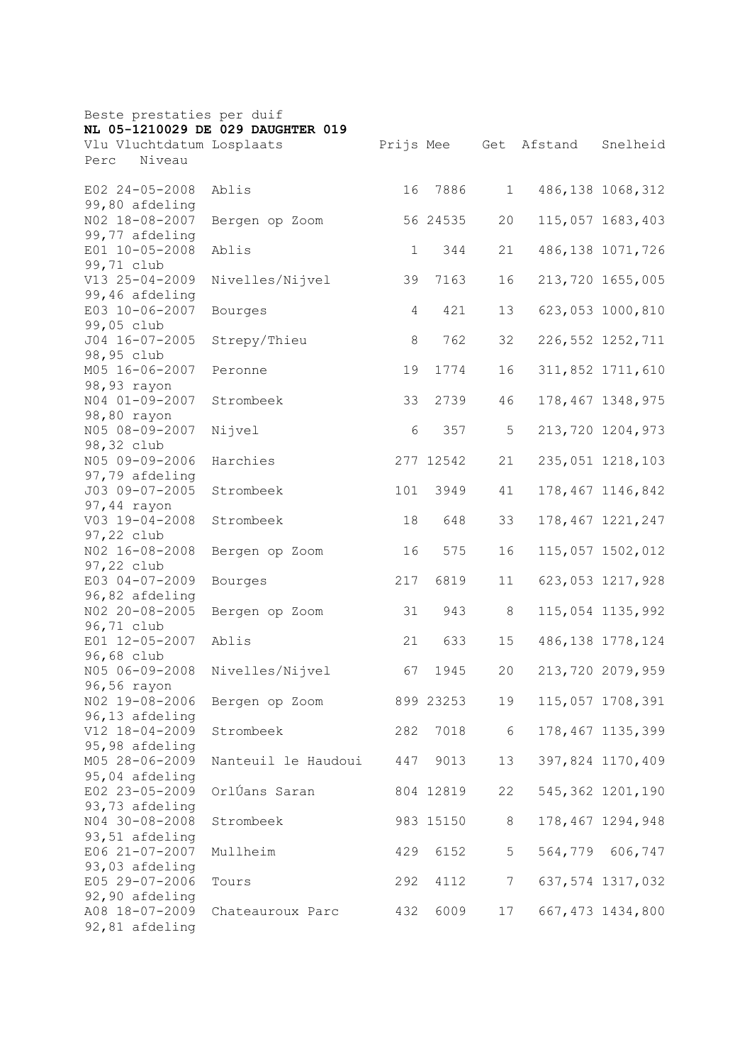| Beste prestaties per duif<br>NL 05-1210029 DE 029 DAUGHTER 019 |                     |              |           |                |             |                    |  |
|----------------------------------------------------------------|---------------------|--------------|-----------|----------------|-------------|--------------------|--|
| Vlu Vluchtdatum Losplaats                                      |                     |              | Prijs Mee |                | Get Afstand | Snelheid           |  |
| Niveau<br>Perc                                                 |                     |              |           |                |             |                    |  |
| E02 24-05-2008                                                 | Ablis               | 16           | 7886      | $\mathbf 1$    |             | 486, 138 1068, 312 |  |
| 99,80 afdeling<br>NO2 18-08-2007                               | Bergen op Zoom      |              | 56 24535  | 20             |             | 115,057 1683,403   |  |
| 99,77 afdeling<br>E01 10-05-2008                               | Ablis               | $\mathbf{1}$ | 344       | 21             |             | 486, 138 1071, 726 |  |
| 99,71 club<br>V13 25-04-2009                                   | Nivelles/Nijvel     | 39           | 7163      | 16             |             | 213,720 1655,005   |  |
| 99,46 afdeling<br>E03 10-06-2007                               | Bourges             | 4            | 421       | 13             |             | 623,053 1000,810   |  |
| 99,05 club                                                     |                     |              |           |                |             |                    |  |
| J04 16-07-2005<br>98,95 club                                   | Strepy/Thieu        | $\,8\,$      | 762       | 32             |             | 226, 552 1252, 711 |  |
| M05 16-06-2007<br>98,93 rayon                                  | Peronne             | 19           | 1774      | 16             |             | 311,852 1711,610   |  |
| N04 01-09-2007<br>98,80 rayon                                  | Strombeek           | 33           | 2739      | 46             |             | 178,467 1348,975   |  |
| N05 08-09-2007<br>98,32 club                                   | Nijvel              | 6            | 357       | 5              |             | 213,720 1204,973   |  |
| N05 09-09-2006                                                 | Harchies            |              | 277 12542 | 21             |             | 235,051 1218,103   |  |
| 97,79 afdeling<br>J03 09-07-2005                               | Strombeek           | 101          | 3949      | 41             |             | 178,467 1146,842   |  |
| 97,44 rayon<br>V03 19-04-2008                                  | Strombeek           | 18           | 648       | 33             |             | 178,467 1221,247   |  |
| 97,22 club<br>NO2 16-08-2008                                   | Bergen op Zoom      | 16           | 575       | 16             |             | 115,057 1502,012   |  |
| 97,22 club                                                     |                     |              |           |                |             |                    |  |
| E03 04-07-2009<br>96,82 afdeling                               | Bourges             | 217          | 6819      | 11             |             | 623,053 1217,928   |  |
| NO2 20-08-2005<br>96,71 club                                   | Bergen op Zoom      | 31           | 943       | $\,8\,$        |             | 115,054 1135,992   |  |
| E01 12-05-2007<br>96,68 club                                   | Ablis               | 21           | 633       | 15             |             | 486, 138 1778, 124 |  |
| N05 06-09-2008<br>96,56 rayon                                  | Nivelles/Nijvel     | 67           | 1945      | 20             |             | 213,720 2079,959   |  |
| NO2 19-08-2006                                                 | Bergen op Zoom      |              | 899 23253 | 19             |             | 115,057 1708,391   |  |
| 96,13 afdeling<br>V12 18-04-2009                               | Strombeek           | 282          | 7018      | 6              |             | 178, 467 1135, 399 |  |
| 95,98 afdeling<br>M05 28-06-2009                               | Nanteuil le Haudoui | 447          | 9013      | 13             |             | 397,824 1170,409   |  |
| 95,04 afdeling<br>E02 23-05-2009                               | OrlÚans Saran       |              | 804 12819 | 22             |             | 545, 362 1201, 190 |  |
| 93,73 afdeling<br>N04 30-08-2008                               | Strombeek           |              | 983 15150 | 8              |             | 178,467 1294,948   |  |
| 93,51 afdeling<br>E06 21-07-2007                               | Mullheim            | 429          | 6152      | 5              |             | 564,779 606,747    |  |
| 93,03 afdeling<br>E05 29-07-2006                               | Tours               | 292          | 4112      | $7\phantom{.}$ |             | 637, 574 1317, 032 |  |
| 92,90 afdeling<br>A08 18-07-2009                               | Chateauroux Parc    | 432          | 6009      | 17             |             | 667, 473 1434, 800 |  |
| 92,81 afdeling                                                 |                     |              |           |                |             |                    |  |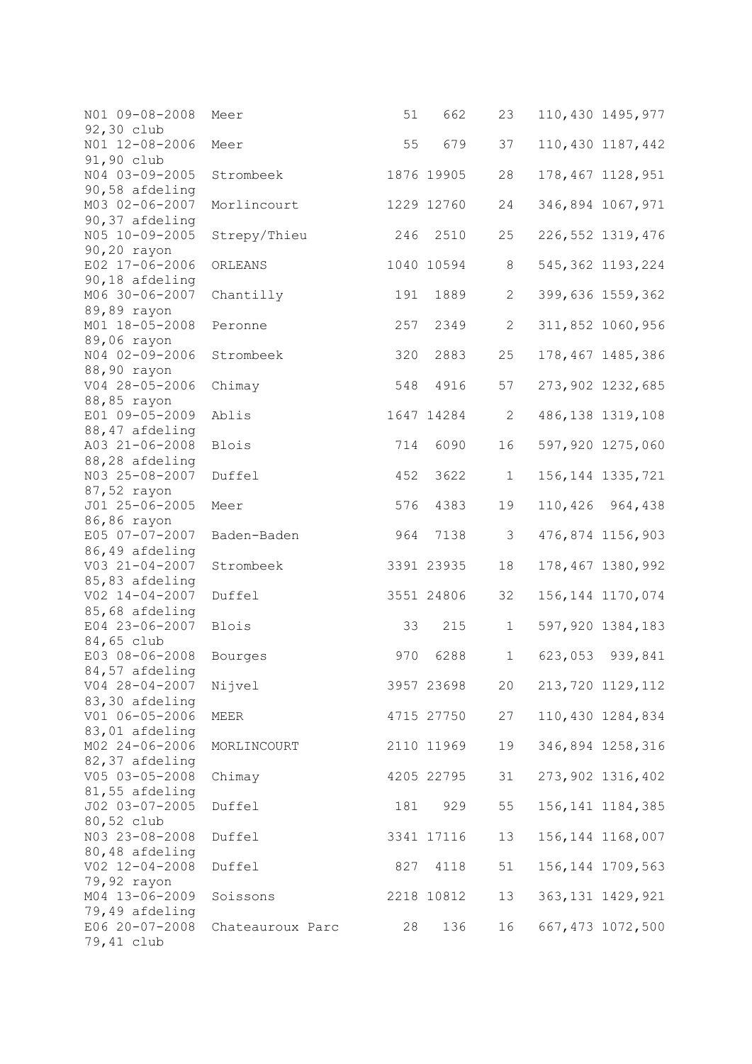| N01 09-08-2008               | Meer             | 51  | 662        | 23             |         | 110,430 1495,977   |
|------------------------------|------------------|-----|------------|----------------|---------|--------------------|
| 92,30 club                   |                  |     |            |                |         |                    |
| NO1 12-08-2006<br>91,90 club | Meer             | 55  | 679        | 37             |         | 110,430 1187,442   |
| N04 03-09-2005               | Strombeek        |     | 1876 19905 | 28             |         | 178,467 1128,951   |
| 90,58 afdeling               |                  |     |            |                |         |                    |
| M03 02-06-2007               | Morlincourt      |     | 1229 12760 | 24             |         | 346,894 1067,971   |
| 90,37 afdeling               |                  |     |            |                |         |                    |
| N05 10-09-2005               | Strepy/Thieu     | 246 | 2510       | 25             |         | 226, 552 1319, 476 |
| 90,20 rayon                  |                  |     |            |                |         |                    |
| E02 17-06-2006               | ORLEANS          |     | 1040 10594 | $\,8\,$        |         | 545, 362 1193, 224 |
| 90,18 afdeling               |                  |     |            |                |         |                    |
| M06 30-06-2007               | Chantilly        | 191 | 1889       | $\overline{2}$ |         | 399,636 1559,362   |
| 89,89 rayon                  |                  |     |            |                |         |                    |
| M01 18-05-2008               | Peronne          | 257 | 2349       | $\mathbf{2}$   |         | 311,852 1060,956   |
| 89,06 rayon                  |                  |     |            |                |         |                    |
| N04 02-09-2006               | Strombeek        | 320 | 2883       | 25             |         | 178,467 1485,386   |
| 88,90 rayon                  |                  |     |            |                |         |                    |
| V04 28-05-2006               | Chimay           | 548 | 4916       | 57             |         | 273,902 1232,685   |
| 88,85 rayon                  |                  |     |            |                |         |                    |
| E01 09-05-2009               | Ablis            |     | 1647 14284 | $\mathbf{2}$   |         | 486, 138 1319, 108 |
| 88,47 afdeling               |                  |     |            |                |         |                    |
| A03 21-06-2008               | Blois            | 714 | 6090       | 16             |         | 597,920 1275,060   |
| 88,28 afdeling               |                  |     |            |                |         |                    |
| N03 25-08-2007               | Duffel           | 452 | 3622       | $\mathbf 1$    |         | 156, 144 1335, 721 |
| 87,52 rayon                  |                  |     |            |                |         |                    |
| J01 25-06-2005               | Meer             | 576 | 4383       | 19             |         | 110,426 964,438    |
| 86,86 rayon                  |                  |     |            |                |         |                    |
| E05 07-07-2007               | Baden-Baden      | 964 | 7138       | 3              |         | 476,874 1156,903   |
| 86,49 afdeling               |                  |     |            |                |         |                    |
| V03 21-04-2007               | Strombeek        |     | 3391 23935 | 18             |         | 178,467 1380,992   |
| 85,83 afdeling               |                  |     |            |                |         |                    |
| $V02$ 14-04-2007             | Duffel           |     | 3551 24806 | 32             |         | 156, 144 1170, 074 |
| 85,68 afdeling               |                  |     |            |                |         |                    |
| E04 23-06-2007               | <b>Blois</b>     | 33  | 215        | $\mathbf 1$    |         | 597,920 1384,183   |
| 84,65 club                   |                  |     |            |                |         |                    |
| E03 08-06-2008               | Bourges          | 970 | 6288       | $\mathbf 1$    | 623,053 | 939,841            |
| 84,57 afdeling               |                  |     |            |                |         |                    |
| V04 28-04-2007               | Nijvel           |     | 3957 23698 | 20             |         | 213,720 1129,112   |
| 83,30 afdeling               |                  |     |            |                |         |                    |
| V01 06-05-2006               | MEER             |     | 4715 27750 | 27             |         | 110,430 1284,834   |
| 83,01 afdeling               |                  |     |            |                |         |                    |
| M02 24-06-2006               | MORLINCOURT      |     | 2110 11969 | 19             |         | 346,894 1258,316   |
| 82,37 afdeling               |                  |     |            |                |         |                    |
| V05 03-05-2008               | Chimay           |     | 4205 22795 | 31             |         | 273,902 1316,402   |
| 81,55 afdeling               |                  |     |            |                |         |                    |
| J02 03-07-2005               | Duffel           | 181 | 929        | 55             |         | 156, 141 1184, 385 |
| 80,52 club                   |                  |     |            |                |         |                    |
| N03 23-08-2008               | Duffel           |     | 3341 17116 | 13             |         | 156, 144 1168, 007 |
| 80,48 afdeling               |                  |     |            |                |         |                    |
| V02 12-04-2008               | Duffel           | 827 | 4118       | 51             |         | 156, 144 1709, 563 |
| 79,92 rayon                  |                  |     |            |                |         |                    |
| M04 13-06-2009               | Soissons         |     | 2218 10812 | 13             |         | 363, 131 1429, 921 |
| 79,49 afdeling               |                  |     |            |                |         |                    |
| E06 20-07-2008               | Chateauroux Parc | 28  | 136        | 16             |         | 667, 473 1072, 500 |
| 79,41 club                   |                  |     |            |                |         |                    |
|                              |                  |     |            |                |         |                    |